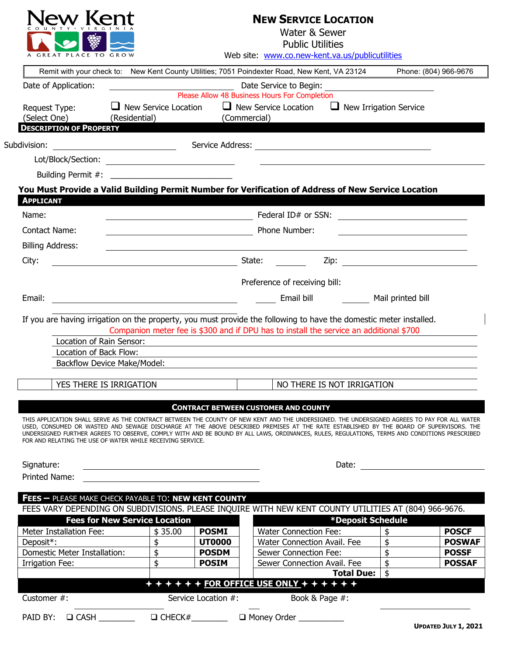

## **NEW SERVICE LOCATION**

Water & Sewer Public Utilities

|                                                                                                        |                                                                                                                                                                                                                                                                                        |                     | Remit with your check to: New Kent County Utilities; 7051 Poindexter Road, New Kent, VA 23124                                                                                                                                       |                                 |                               | Phone: (804) 966-9676            |
|--------------------------------------------------------------------------------------------------------|----------------------------------------------------------------------------------------------------------------------------------------------------------------------------------------------------------------------------------------------------------------------------------------|---------------------|-------------------------------------------------------------------------------------------------------------------------------------------------------------------------------------------------------------------------------------|---------------------------------|-------------------------------|----------------------------------|
| Date of Application:                                                                                   |                                                                                                                                                                                                                                                                                        |                     | Date Service to Begin:                                                                                                                                                                                                              |                                 |                               |                                  |
|                                                                                                        |                                                                                                                                                                                                                                                                                        |                     | Please Allow 48 Business Hours For Completion                                                                                                                                                                                       |                                 |                               |                                  |
| Request Type:                                                                                          | $\Box$ New Service Location                                                                                                                                                                                                                                                            |                     | $\Box$ New Service Location                                                                                                                                                                                                         |                                 | $\Box$ New Irrigation Service |                                  |
| (Select One)                                                                                           | (Residential)                                                                                                                                                                                                                                                                          |                     | (Commercial)                                                                                                                                                                                                                        |                                 |                               |                                  |
| <b>DESCRIPTION OF PROPERTY</b>                                                                         |                                                                                                                                                                                                                                                                                        |                     |                                                                                                                                                                                                                                     |                                 |                               |                                  |
| Subdivision:                                                                                           |                                                                                                                                                                                                                                                                                        |                     |                                                                                                                                                                                                                                     |                                 |                               |                                  |
|                                                                                                        |                                                                                                                                                                                                                                                                                        |                     |                                                                                                                                                                                                                                     |                                 |                               |                                  |
|                                                                                                        | Building Permit #: ______________________________                                                                                                                                                                                                                                      |                     |                                                                                                                                                                                                                                     |                                 |                               |                                  |
|                                                                                                        | You Must Provide a Valid Building Permit Number for Verification of Address of New Service Location                                                                                                                                                                                    |                     |                                                                                                                                                                                                                                     |                                 |                               |                                  |
| <b>APPLICANT</b>                                                                                       |                                                                                                                                                                                                                                                                                        |                     |                                                                                                                                                                                                                                     |                                 |                               |                                  |
| Name:                                                                                                  |                                                                                                                                                                                                                                                                                        |                     | <b>Example 2018</b> The Contract Contract Contract Contract Contract Contract Contract Contract Contract Contract Contract Contract Contract Contract Contract Contract Contract Contract Contract Contract Contract Contract Contr |                                 |                               |                                  |
|                                                                                                        |                                                                                                                                                                                                                                                                                        |                     |                                                                                                                                                                                                                                     |                                 |                               |                                  |
| Contact Name:                                                                                          | Phone Number:                                                                                                                                                                                                                                                                          |                     |                                                                                                                                                                                                                                     |                                 |                               |                                  |
| <b>Billing Address:</b>                                                                                |                                                                                                                                                                                                                                                                                        |                     |                                                                                                                                                                                                                                     |                                 |                               |                                  |
| City:                                                                                                  |                                                                                                                                                                                                                                                                                        |                     |                                                                                                                                                                                                                                     |                                 |                               |                                  |
|                                                                                                        |                                                                                                                                                                                                                                                                                        |                     |                                                                                                                                                                                                                                     |                                 |                               |                                  |
|                                                                                                        |                                                                                                                                                                                                                                                                                        |                     | Preference of receiving bill:                                                                                                                                                                                                       |                                 |                               |                                  |
| Email:                                                                                                 |                                                                                                                                                                                                                                                                                        |                     | Email bill Mail printed bill                                                                                                                                                                                                        |                                 |                               |                                  |
| Location of Back Flow:                                                                                 | If you are having irrigation on the property, you must provide the following to have the domestic meter installed.<br>Companion meter fee is \$300 and if DPU has to install the service an additional \$700<br>Location of Rain Sensor:                                               |                     |                                                                                                                                                                                                                                     |                                 |                               |                                  |
|                                                                                                        | Backflow Device Make/Model:                                                                                                                                                                                                                                                            |                     |                                                                                                                                                                                                                                     |                                 |                               |                                  |
|                                                                                                        | YES THERE IS IRRIGATION                                                                                                                                                                                                                                                                |                     |                                                                                                                                                                                                                                     | NO THERE IS NOT IRRIGATION      |                               |                                  |
|                                                                                                        |                                                                                                                                                                                                                                                                                        |                     |                                                                                                                                                                                                                                     |                                 |                               |                                  |
|                                                                                                        |                                                                                                                                                                                                                                                                                        |                     | <b>CONTRACT BETWEEN CUSTOMER AND COUNTY</b>                                                                                                                                                                                         |                                 |                               |                                  |
|                                                                                                        | THIS APPLICATION SHALL SERVE AS THE CONTRACT BETWEEN THE COUNTY OF NEW KENT AND THE UNDERSIGNED. THE UNDERSIGNED AGREES TO PAY FOR ALL WATER<br>USED, CONSUMED OR WASTED AND SEWAGE DISCHARGE AT THE ABOVE DESCRIBED PREMISES AT THE RATE ESTABLISHED BY THE BOARD OF SUPERVISORS. THE |                     |                                                                                                                                                                                                                                     |                                 |                               |                                  |
|                                                                                                        | UNDERSIGNED FURTHER AGREES TO OBSERVE, COMPLY WITH AND BE BOUND BY ALL LAWS, ORDINANCES, RULES, REGULATIONS, TERMS AND CONDITIONS PRESCRIBED<br>FOR AND RELATING THE USE OF WATER WHILE RECEIVING SERVICE.                                                                             |                     |                                                                                                                                                                                                                                     |                                 |                               |                                  |
|                                                                                                        |                                                                                                                                                                                                                                                                                        |                     |                                                                                                                                                                                                                                     |                                 |                               |                                  |
|                                                                                                        | <u> 1989 - Johann Stoff, Amerikaansk politiker († 1908)</u>                                                                                                                                                                                                                            |                     |                                                                                                                                                                                                                                     |                                 |                               | Date: <u>___________________</u> |
| Signature:<br>Printed Name:                                                                            |                                                                                                                                                                                                                                                                                        |                     |                                                                                                                                                                                                                                     |                                 |                               |                                  |
|                                                                                                        |                                                                                                                                                                                                                                                                                        |                     |                                                                                                                                                                                                                                     |                                 |                               |                                  |
|                                                                                                        | FEES - PLEASE MAKE CHECK PAYABLE TO: NEW KENT COUNTY                                                                                                                                                                                                                                   |                     |                                                                                                                                                                                                                                     |                                 |                               |                                  |
|                                                                                                        | FEES VARY DEPENDING ON SUBDIVISIONS. PLEASE INQUIRE WITH NEW KENT COUNTY UTILITIES AT (804) 966-9676.                                                                                                                                                                                  |                     |                                                                                                                                                                                                                                     |                                 |                               |                                  |
|                                                                                                        | <b>Fees for New Service Location</b><br>\$35.00                                                                                                                                                                                                                                        | <b>POSMI</b>        | <b>Water Connection Fee:</b>                                                                                                                                                                                                        | <b>*Deposit Schedule</b>        |                               | <b>POSCF</b>                     |
|                                                                                                        | \$                                                                                                                                                                                                                                                                                     | <b>UT0000</b>       | Water Connection Avail. Fee                                                                                                                                                                                                         |                                 | \$                            | <b>POSWAF</b>                    |
|                                                                                                        | $\frac{1}{2}$                                                                                                                                                                                                                                                                          | <b>POSDM</b>        | Sewer Connection Fee:                                                                                                                                                                                                               |                                 | \$                            | <b>POSSF</b>                     |
|                                                                                                        | \$                                                                                                                                                                                                                                                                                     | <b>POSIM</b>        | Sewer Connection Avail. Fee                                                                                                                                                                                                         |                                 | $\overline{\mathfrak{s}}$     | <b>POSSAF</b>                    |
|                                                                                                        |                                                                                                                                                                                                                                                                                        |                     |                                                                                                                                                                                                                                     | <b>Total Due:</b> $\frac{1}{3}$ |                               |                                  |
| Meter Installation Fee:<br>Deposit*:<br>Domestic Meter Installation:<br>Irrigation Fee:<br>Customer #: |                                                                                                                                                                                                                                                                                        | Service Location #: | $\texttt{++++++}$ FOR OFFICE USE ONLY + + + + + +                                                                                                                                                                                   | Book & Page #:                  |                               |                                  |